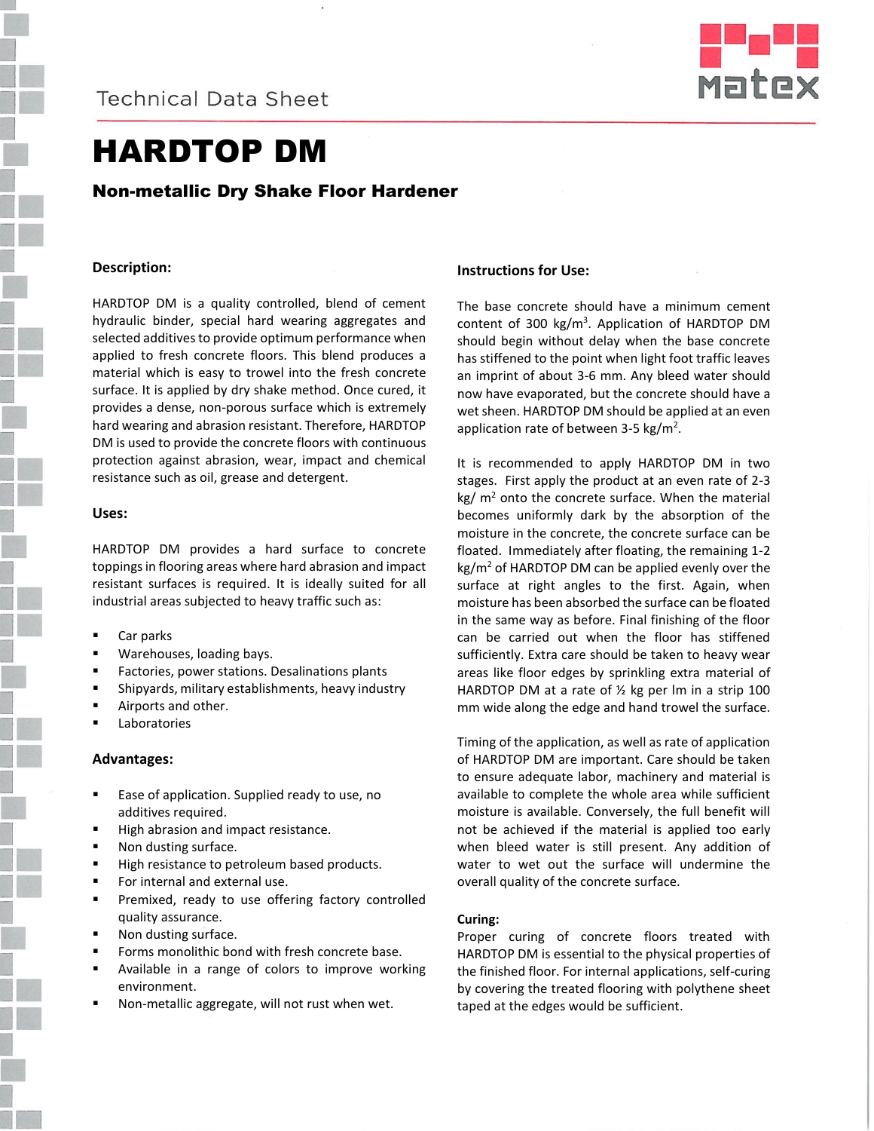**Technical Data Sheet** 



# HARDTOP DM

## Non-metallic Dry Shake Floor Hardener

## **Description:**

HARDTOP DM is a quality controlled, blend of cement hydraulic binder, special hard wearing aggregates and selected additives to provide optimum performance when applied to fresh concrete floors. This blend produces a material which is easy to trowel into the fresh concrete surface. It is applied by dry shake method. Once cured, it provides a dense, non-porous surface which is extremely hard wearing and abrasion resistant. Therefore, HARDTOP DM is used to provide the concrete floors with continuous protection against abrasion, wear, impact and chemical resistance such as oil, grease and detergent.

#### **Uses:**

HARDTOP DM provides a hard surface to concrete toppings in flooring areas where hard abrasion and impact resistant surfaces is required. It is ideally suited for all industrial areas subjected to heavy traffic such as:

- Car parks
- Warehouses, loading bays.
- Factories, power stations. Desalinations plants
- Shipyards, military establishments, heavy industry
- Airports and other.
- Laboratories

## **Advantages:**

- Ease of application. Supplied ready to use, no additives required.
- High abrasion and impact resistance.
- Non dusting surface.
- High resistance to petroleum based products.
- **For internal and external use.**
- **Premixed, ready to use offering factory controlled** quality assurance.
- Non dusting surface.
- Forms monolithic bond with fresh concrete base.
- Available in a range of colors to improve working environment.
- Non-metallic aggregate, will not rust when wet.

## **Instructions for Use:**

The base concrete should have a minimum cement content of 300 kg/m<sup>3</sup>. Application of HARDTOP DM should begin without delay when the base concrete has stiffened to the point when light foot traffic leaves an imprint of about 3-6 mm. Any bleed water should now have evaporated, but the concrete should have a wet sheen. HARDTOP DM should be applied at an even application rate of between 3-5 kg/m<sup>2</sup>.

It is recommended to apply HARDTOP DM in two stages. First apply the product at an even rate of 2-3  $kg/m<sup>2</sup>$  onto the concrete surface. When the material becomes uniformly dark by the absorption of the moisture in the concrete, the concrete surface can be floated. Immediately after floating, the remaining 1-2 kg/m<sup>2</sup> of HARDTOP DM can be applied evenly over the surface at right angles to the first. Again, when moisture has been absorbed the surface can be floated in the same way as before. Final finishing of the floor can be carried out when the floor has stiffened sufficiently. Extra care should be taken to heavy wear areas like floor edges by sprinkling extra material of HARDTOP DM at a rate of  $\frac{1}{2}$  kg per lm in a strip 100 mm wide along the edge and hand trowel the surface.

Timing of the application, as well as rate of application of HARDTOP DM are important. Care should be taken to ensure adequate labor, machinery and material is available to complete the whole area while sufficient moisture is available. Conversely, the full benefit will not be achieved if the material is applied too early when bleed water is still present. Any addition of water to wet out the surface will undermine the overall quality of the concrete surface.

## **Curing:**

Proper curing of concrete floors treated with HARDTOP DM is essential to the physical properties of the finished floor. For internal applications, self-curing by covering the treated flooring with polythene sheet taped at the edges would be sufficient.